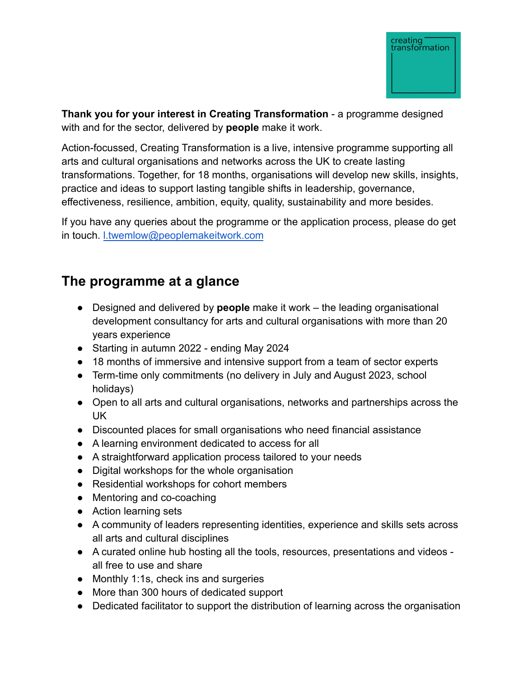

**Thank you for your interest in Creating Transformation** - a programme designed with and for the sector, delivered by **people** make it work.

Action-focussed, Creating Transformation is a live, intensive programme supporting all arts and cultural organisations and networks across the UK to create lasting transformations. Together, for 18 months, organisations will develop new skills, insights, practice and ideas to support lasting tangible shifts in leadership, governance, effectiveness, resilience, ambition, equity, quality, sustainability and more besides.

If you have any queries about the programme or the application process, please do get in touch. [l.twemlow@peoplemakeitwork.com](mailto:l.twemlow@peoplemakeitwor.com)

# **The programme at a glance**

- Designed and delivered by **people** make it work the leading organisational development consultancy for arts and cultural organisations with more than 20 years experience
- Starting in autumn 2022 ending May 2024
- 18 months of immersive and intensive support from a team of sector experts
- Term-time only commitments (no delivery in July and August 2023, school holidays)
- Open to all arts and cultural organisations, networks and partnerships across the UK
- Discounted places for small organisations who need financial assistance
- A learning environment dedicated to access for all
- A straightforward application process tailored to your needs
- Digital workshops for the whole organisation
- Residential workshops for cohort members
- Mentoring and co-coaching
- Action learning sets
- A community of leaders representing identities, experience and skills sets across all arts and cultural disciplines
- A curated online hub hosting all the tools, resources, presentations and videos all free to use and share
- Monthly 1:1s, check ins and surgeries
- More than 300 hours of dedicated support
- Dedicated facilitator to support the distribution of learning across the organisation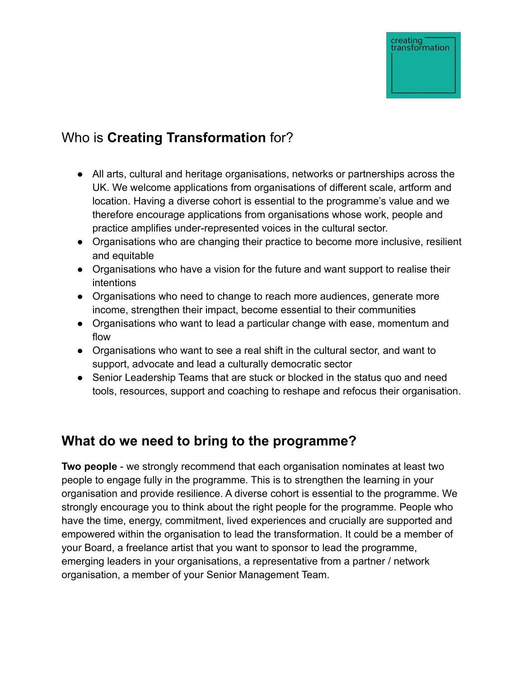# Who is **Creating Transformation** for?

- All arts, cultural and heritage organisations, networks or partnerships across the UK. We welcome applications from organisations of different scale, artform and location. Having a diverse cohort is essential to the programme's value and we therefore encourage applications from organisations whose work, people and practice amplifies under-represented voices in the cultural sector.
- Organisations who are changing their practice to become more inclusive, resilient and equitable
- Organisations who have a vision for the future and want support to realise their intentions
- Organisations who need to change to reach more audiences, generate more income, strengthen their impact, become essential to their communities
- Organisations who want to lead a particular change with ease, momentum and flow
- Organisations who want to see a real shift in the cultural sector, and want to support, advocate and lead a culturally democratic sector
- Senior Leadership Teams that are stuck or blocked in the status quo and need tools, resources, support and coaching to reshape and refocus their organisation.

# **What do we need to bring to the programme?**

**Two people** - we strongly recommend that each organisation nominates at least two people to engage fully in the programme. This is to strengthen the learning in your organisation and provide resilience. A diverse cohort is essential to the programme. We strongly encourage you to think about the right people for the programme. People who have the time, energy, commitment, lived experiences and crucially are supported and empowered within the organisation to lead the transformation. It could be a member of your Board, a freelance artist that you want to sponsor to lead the programme, emerging leaders in your organisations, a representative from a partner / network organisation, a member of your Senior Management Team.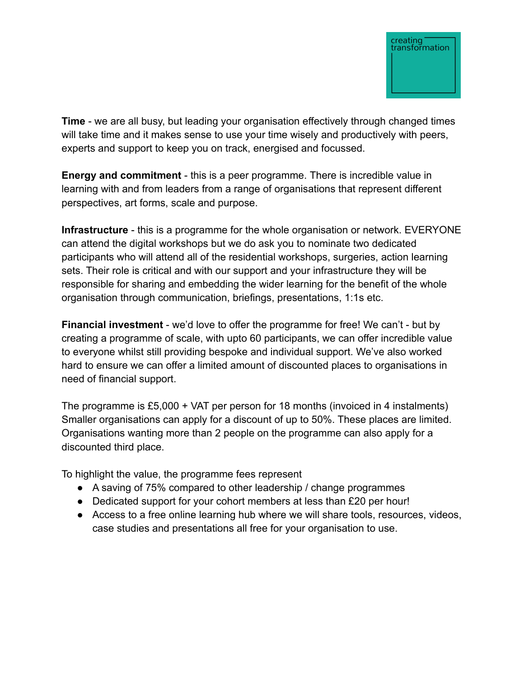

**Time** - we are all busy, but leading your organisation effectively through changed times will take time and it makes sense to use your time wisely and productively with peers, experts and support to keep you on track, energised and focussed.

**Energy and commitment** - this is a peer programme. There is incredible value in learning with and from leaders from a range of organisations that represent different perspectives, art forms, scale and purpose.

**Infrastructure** - this is a programme for the whole organisation or network. EVERYONE can attend the digital workshops but we do ask you to nominate two dedicated participants who will attend all of the residential workshops, surgeries, action learning sets. Their role is critical and with our support and your infrastructure they will be responsible for sharing and embedding the wider learning for the benefit of the whole organisation through communication, briefings, presentations, 1:1s etc.

**Financial investment** - we'd love to offer the programme for free! We can't - but by creating a programme of scale, with upto 60 participants, we can offer incredible value to everyone whilst still providing bespoke and individual support. We've also worked hard to ensure we can offer a limited amount of discounted places to organisations in need of financial support.

The programme is £5,000 + VAT per person for 18 months (invoiced in 4 instalments) Smaller organisations can apply for a discount of up to 50%. These places are limited. Organisations wanting more than 2 people on the programme can also apply for a discounted third place.

To highlight the value, the programme fees represent

- A saving of 75% compared to other leadership / change programmes
- Dedicated support for your cohort members at less than £20 per hour!
- Access to a free online learning hub where we will share tools, resources, videos, case studies and presentations all free for your organisation to use.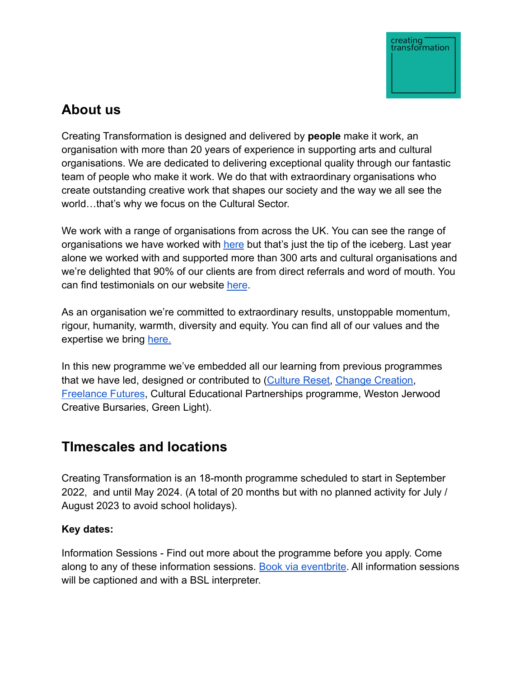

# **About us**

Creating Transformation is designed and delivered by **people** [make it work](http://www.peoplemakeitwork.com/), an organisation with more than 20 years of experience in supporting arts and cultural organisations. We are dedicated to delivering exceptional quality through our fantastic team of people who make it work. We do that with extraordinary organisations who create outstanding creative work that shapes our society and the way we all see the world…that's why we focus on the Cultural Sector.

We work with a range of organisations from across the UK. You can see the range of organisations we have worked with [here](https://www.peoplemakeitwork.com/our-clients/) but that's just the tip of the iceberg. Last year alone we worked with and supported more than 300 arts and cultural organisations and we're delighted that 90% of our clients are from direct referrals and word of mouth. You can find testimonials on our website [here](https://www.peoplemakeitwork.com/our-impact/).

As an organisation we're committed to extraordinary results, unstoppable momentum, rigour, humanity, warmth, diversity and equity. You can find all of our values and the expertise we bring [here.](https://www.peoplemakeitwork.com/about-us/)

In this new programme we've embedded all our learning from previous programmes that we have led, designed or contributed to ([Culture](http://www.culturereset.org/) Reset, [Change Creation,](https://www.changecreation.org/) [Freelance Futures](https://www.freelancefutures.org/), Cultural Educational Partnerships programme, Weston Jerwood Creative Bursaries, Green Light).

# **TImescales and locations**

Creating Transformation is an 18-month programme scheduled to start in September 2022, and until May 2024. (A total of 20 months but with no planned activity for July / August 2023 to avoid school holidays).

# **Key dates:**

Information Sessions - Find out more about the programme before you apply. Come along to any of these information sessions. Book via [eventbrite.](https://www.eventbrite.com/cc/creating-transformation-577219?utm-campaign=social&utm-content=creatorshare&utm-medium=discovery&utm-term=odclsxcollection&utm-source=cp&aff=escb) All information sessions will be captioned and with a BSL interpreter.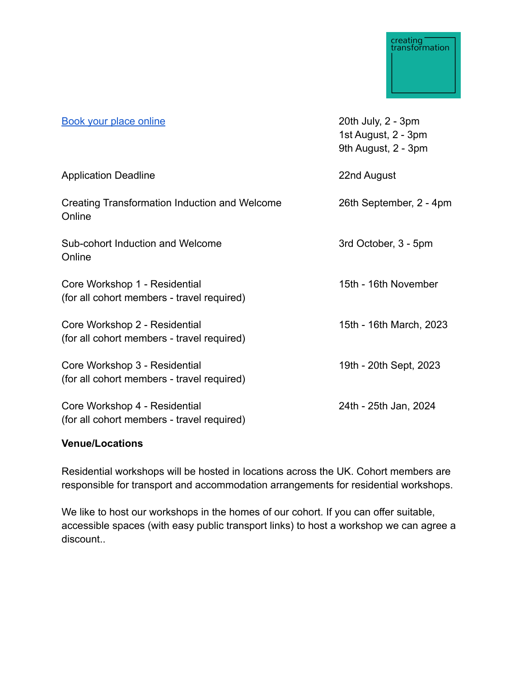| <b>Book your place online</b>                                               | 20th July, 2 - 3pm<br>1st August, 2 - 3pm<br>9th August, 2 - 3pm |
|-----------------------------------------------------------------------------|------------------------------------------------------------------|
| <b>Application Deadline</b>                                                 | 22nd August                                                      |
| Creating Transformation Induction and Welcome<br>Online                     | 26th September, 2 - 4pm                                          |
| Sub-cohort Induction and Welcome<br>Online                                  | 3rd October, 3 - 5pm                                             |
| Core Workshop 1 - Residential<br>(for all cohort members - travel required) | 15th - 16th November                                             |
| Core Workshop 2 - Residential<br>(for all cohort members - travel required) | 15th - 16th March, 2023                                          |
| Core Workshop 3 - Residential<br>(for all cohort members - travel required) | 19th - 20th Sept, 2023                                           |
| Core Workshop 4 - Residential<br>(for all cohort members - travel required) | 24th - 25th Jan, 2024                                            |

## **Venue/Locations**

Residential workshops will be hosted in locations across the UK. Cohort members are responsible for transport and accommodation arrangements for residential workshops.

We like to host our workshops in the homes of our cohort. If you can offer suitable, accessible spaces (with easy public transport links) to host a workshop we can agree a discount..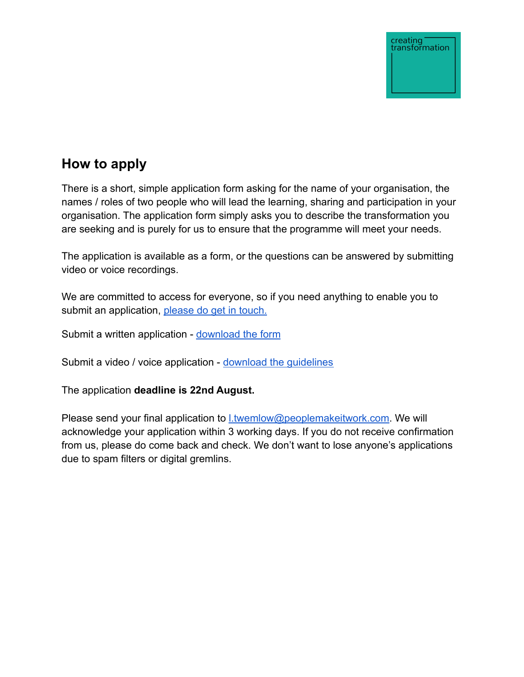# **How to apply**

There is a short, simple application form asking for the name of your organisation, the names / roles of two people who will lead the learning, sharing and participation in your organisation. The application form simply asks you to describe the transformation you are seeking and is purely for us to ensure that the programme will meet your needs.

The application is available as a form, or the questions can be answered by submitting video or voice recordings.

We are committed to access for everyone, so if you need anything to enable you to submit an application, [please do get in touch.](mailto: l.twemlow@peoplemakeitwork.com)

Submit a written application - [download the form](https://www.peoplemakeitwork.com/wp-content/uploads/2022/06/Creating-Transformation-Written-Application-Form.docx)

Submit a video / voice application - [download the](https://www.peoplemakeitwork.com/wp-content/uploads/2022/06/Creating-Transformation-Video-_-Voice-Application-Details.docx) guidelines

The application **deadline is 22nd August.**

Please send your final application to **Ltwemlow@peoplemakeitwork.com**. We will acknowledge your application within 3 working days. If you do not receive confirmation from us, please do come back and check. We don't want to lose anyone's applications due to spam filters or digital gremlins.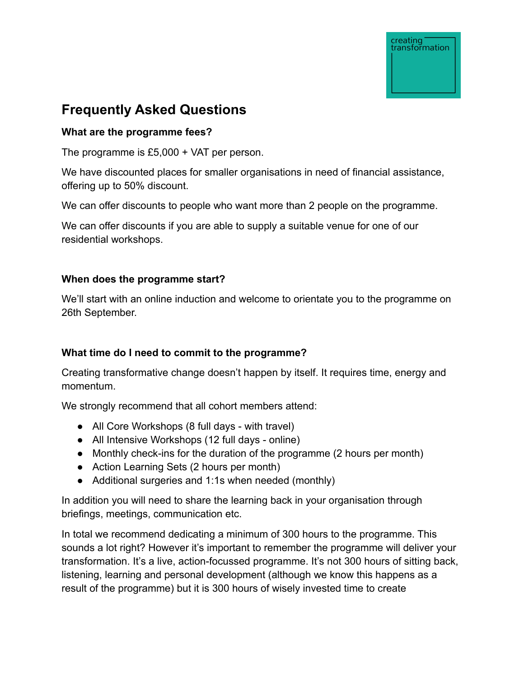# **Frequently Asked Questions**

## **What are the programme fees?**

The programme is £5,000 + VAT per person.

We have discounted places for smaller organisations in need of financial assistance, offering up to 50% discount.

We can offer discounts to people who want more than 2 people on the programme.

We can offer discounts if you are able to supply a suitable venue for one of our residential workshops.

## **When does the programme start?**

We'll start with an online induction and welcome to orientate you to the programme on 26th September.

# **What time do I need to commit to the programme?**

Creating transformative change doesn't happen by itself. It requires time, energy and momentum.

We strongly recommend that all cohort members attend:

- All Core Workshops (8 full days with travel)
- All Intensive Workshops (12 full days online)
- Monthly check-ins for the duration of the programme (2 hours per month)
- Action Learning Sets (2 hours per month)
- Additional surgeries and 1:1s when needed (monthly)

In addition you will need to share the learning back in your organisation through briefings, meetings, communication etc.

In total we recommend dedicating a minimum of 300 hours to the programme. This sounds a lot right? However it's important to remember the programme will deliver your transformation. It's a live, action-focussed programme. It's not 300 hours of sitting back, listening, learning and personal development (although we know this happens as a result of the programme) but it is 300 hours of wisely invested time to create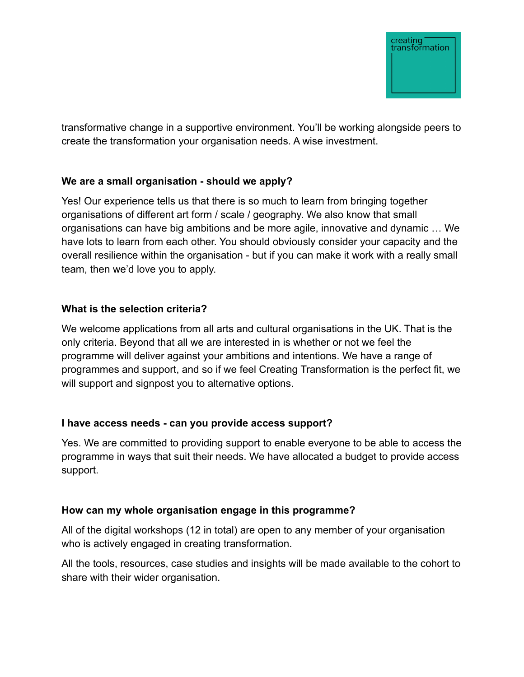

transformative change in a supportive environment. You'll be working alongside peers to create the transformation your organisation needs. A wise investment.

## **We are a small organisation - should we apply?**

Yes! Our experience tells us that there is so much to learn from bringing together organisations of different art form / scale / geography. We also know that small organisations can have big ambitions and be more agile, innovative and dynamic … We have lots to learn from each other. You should obviously consider your capacity and the overall resilience within the organisation - but if you can make it work with a really small team, then we'd love you to apply.

#### **What is the selection criteria?**

We welcome applications from all arts and cultural organisations in the UK. That is the only criteria. Beyond that all we are interested in is whether or not we feel the programme will deliver against your ambitions and intentions. We have a range of programmes and support, and so if we feel Creating Transformation is the perfect fit, we will support and signpost you to alternative options.

#### **I have access needs - can you provide access support?**

Yes. We are committed to providing support to enable everyone to be able to access the programme in ways that suit their needs. We have allocated a budget to provide access support.

#### **How can my whole organisation engage in this programme?**

All of the digital workshops (12 in total) are open to any member of your organisation who is actively engaged in creating transformation.

All the tools, resources, case studies and insights will be made available to the cohort to share with their wider organisation.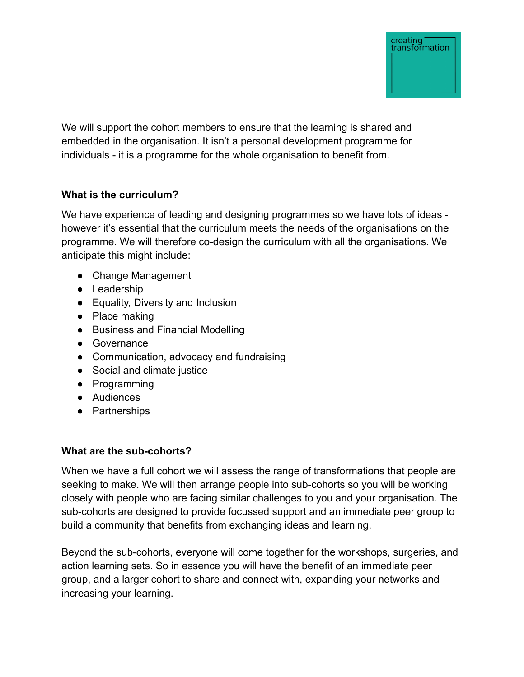

We will support the cohort members to ensure that the learning is shared and embedded in the organisation. It isn't a personal development programme for individuals - it is a programme for the whole organisation to benefit from.

## **What is the curriculum?**

We have experience of leading and designing programmes so we have lots of ideas however it's essential that the curriculum meets the needs of the organisations on the programme. We will therefore co-design the curriculum with all the organisations. We anticipate this might include:

- Change Management
- Leadership
- Equality, Diversity and Inclusion
- Place making
- Business and Financial Modelling
- Governance
- Communication, advocacy and fundraising
- Social and climate justice
- Programming
- Audiences
- Partnerships

## **What are the sub-cohorts?**

When we have a full cohort we will assess the range of transformations that people are seeking to make. We will then arrange people into sub-cohorts so you will be working closely with people who are facing similar challenges to you and your organisation. The sub-cohorts are designed to provide focussed support and an immediate peer group to build a community that benefits from exchanging ideas and learning.

Beyond the sub-cohorts, everyone will come together for the workshops, surgeries, and action learning sets. So in essence you will have the benefit of an immediate peer group, and a larger cohort to share and connect with, expanding your networks and increasing your learning.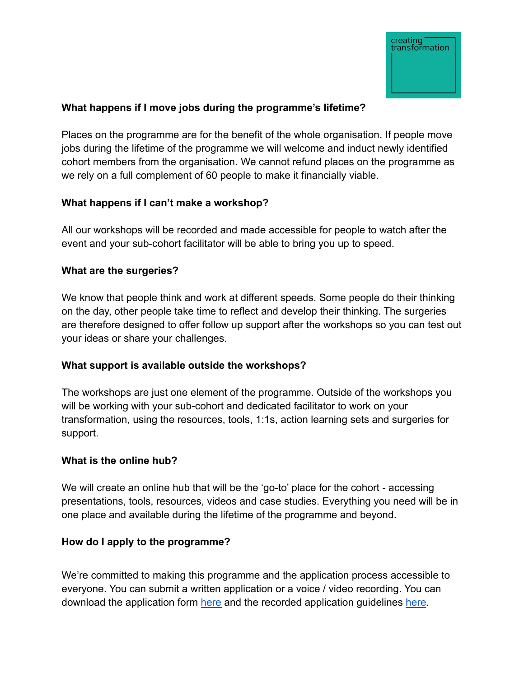

## **What happens if I move jobs during the programme's lifetime?**

Places on the programme are for the benefit of the whole organisation. If people move jobs during the lifetime of the programme we will welcome and induct newly identified cohort members from the organisation. We cannot refund places on the programme as we rely on a full complement of 60 people to make it financially viable.

## **What happens if I can't make a workshop?**

All our workshops will be recorded and made accessible for people to watch after the event and your sub-cohort facilitator will be able to bring you up to speed.

## **What are the surgeries?**

We know that people think and work at different speeds. Some people do their thinking on the day, other people take time to reflect and develop their thinking. The surgeries are therefore designed to offer follow up support after the workshops so you can test out your ideas or share your challenges.

## **What support is available outside the workshops?**

The workshops are just one element of the programme. Outside of the workshops you will be working with your sub-cohort and dedicated facilitator to work on your transformation, using the resources, tools, 1:1s, action learning sets and surgeries for support.

## **What is the online hub?**

We will create an online hub that will be the 'go-to' place for the cohort - accessing presentations, tools, resources, videos and case studies. Everything you need will be in one place and available during the lifetime of the programme and beyond.

## **How do I apply to the programme?**

We're committed to making this programme and the application process accessible to everyone. You can submit a written application or a voice / video recording. You can download the application form [here](https://www.peoplemakeitwork.com/wp-content/uploads/2022/06/Creating-Transformation-Written-Application-Form.docx) and the recorded application guidelines [here](https://www.peoplemakeitwork.com/wp-content/uploads/2022/06/Creating-Transformation-Video-_-Voice-Application-Details.docx).